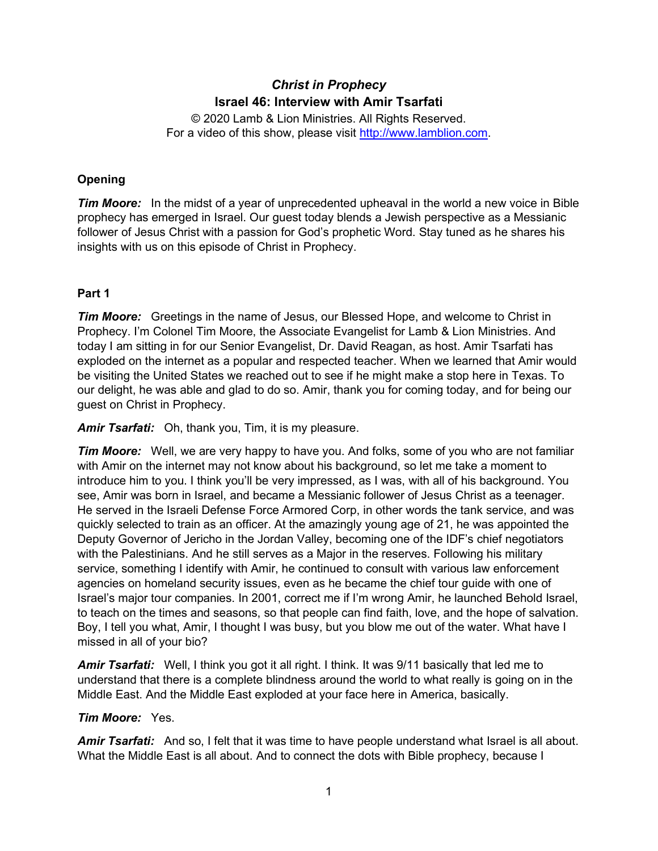# *Christ in Prophecy* **Israel 46: Interview with Amir Tsarfati**

© 2020 Lamb & Lion Ministries. All Rights Reserved. For a video of this show, please visit [http://www.lamblion.com.](http://www.lamblion.com/)

## **Opening**

*Tim Moore:* In the midst of a year of unprecedented upheaval in the world a new voice in Bible prophecy has emerged in Israel. Our guest today blends a Jewish perspective as a Messianic follower of Jesus Christ with a passion for God's prophetic Word. Stay tuned as he shares his insights with us on this episode of Christ in Prophecy.

## **Part 1**

*Tim Moore:* Greetings in the name of Jesus, our Blessed Hope, and welcome to Christ in Prophecy. I'm Colonel Tim Moore, the Associate Evangelist for Lamb & Lion Ministries. And today I am sitting in for our Senior Evangelist, Dr. David Reagan, as host. Amir Tsarfati has exploded on the internet as a popular and respected teacher. When we learned that Amir would be visiting the United States we reached out to see if he might make a stop here in Texas. To our delight, he was able and glad to do so. Amir, thank you for coming today, and for being our guest on Christ in Prophecy.

*Amir Tsarfati:* Oh, thank you, Tim, it is my pleasure.

*Tim Moore:* Well, we are very happy to have you. And folks, some of you who are not familiar with Amir on the internet may not know about his background, so let me take a moment to introduce him to you. I think you'll be very impressed, as I was, with all of his background. You see, Amir was born in Israel, and became a Messianic follower of Jesus Christ as a teenager. He served in the Israeli Defense Force Armored Corp, in other words the tank service, and was quickly selected to train as an officer. At the amazingly young age of 21, he was appointed the Deputy Governor of Jericho in the Jordan Valley, becoming one of the IDF's chief negotiators with the Palestinians. And he still serves as a Major in the reserves. Following his military service, something I identify with Amir, he continued to consult with various law enforcement agencies on homeland security issues, even as he became the chief tour guide with one of Israel's major tour companies. In 2001, correct me if I'm wrong Amir, he launched Behold Israel, to teach on the times and seasons, so that people can find faith, love, and the hope of salvation. Boy, I tell you what, Amir, I thought I was busy, but you blow me out of the water. What have I missed in all of your bio?

*Amir Tsarfati:* Well, I think you got it all right. I think. It was 9/11 basically that led me to understand that there is a complete blindness around the world to what really is going on in the Middle East. And the Middle East exploded at your face here in America, basically.

## *Tim Moore:* Yes.

*Amir Tsarfati:* And so, I felt that it was time to have people understand what Israel is all about. What the Middle East is all about. And to connect the dots with Bible prophecy, because I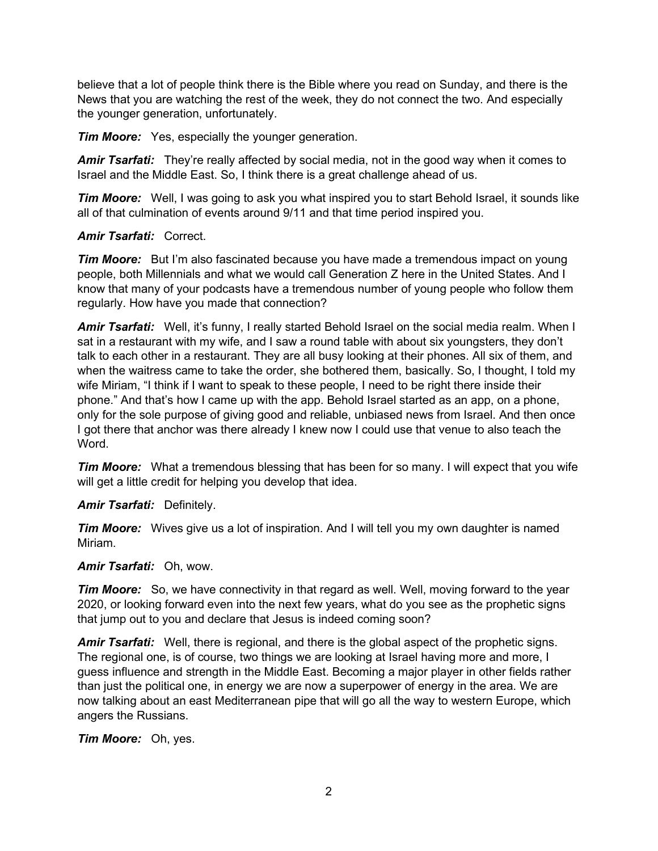believe that a lot of people think there is the Bible where you read on Sunday, and there is the News that you are watching the rest of the week, they do not connect the two. And especially the younger generation, unfortunately.

*Tim Moore:* Yes, especially the younger generation.

*Amir Tsarfati:* They're really affected by social media, not in the good way when it comes to Israel and the Middle East. So, I think there is a great challenge ahead of us.

*Tim Moore:* Well, I was going to ask you what inspired you to start Behold Israel, it sounds like all of that culmination of events around 9/11 and that time period inspired you.

## *Amir Tsarfati:* Correct.

*Tim Moore:* But I'm also fascinated because you have made a tremendous impact on young people, both Millennials and what we would call Generation Z here in the United States. And I know that many of your podcasts have a tremendous number of young people who follow them regularly. How have you made that connection?

**Amir Tsarfati:** Well, it's funny, I really started Behold Israel on the social media realm. When I sat in a restaurant with my wife, and I saw a round table with about six youngsters, they don't talk to each other in a restaurant. They are all busy looking at their phones. All six of them, and when the waitress came to take the order, she bothered them, basically. So, I thought, I told my wife Miriam, "I think if I want to speak to these people, I need to be right there inside their phone." And that's how I came up with the app. Behold Israel started as an app, on a phone, only for the sole purpose of giving good and reliable, unbiased news from Israel. And then once I got there that anchor was there already I knew now I could use that venue to also teach the Word.

*Tim Moore:* What a tremendous blessing that has been for so many. I will expect that you wife will get a little credit for helping you develop that idea.

## *Amir Tsarfati:* Definitely.

*Tim Moore:* Wives give us a lot of inspiration. And I will tell you my own daughter is named Miriam.

#### *Amir Tsarfati:* Oh, wow.

*Tim Moore:* So, we have connectivity in that regard as well. Well, moving forward to the year 2020, or looking forward even into the next few years, what do you see as the prophetic signs that jump out to you and declare that Jesus is indeed coming soon?

*Amir Tsarfati:* Well, there is regional, and there is the global aspect of the prophetic signs. The regional one, is of course, two things we are looking at Israel having more and more, I guess influence and strength in the Middle East. Becoming a major player in other fields rather than just the political one, in energy we are now a superpower of energy in the area. We are now talking about an east Mediterranean pipe that will go all the way to western Europe, which angers the Russians.

*Tim Moore:* Oh, yes.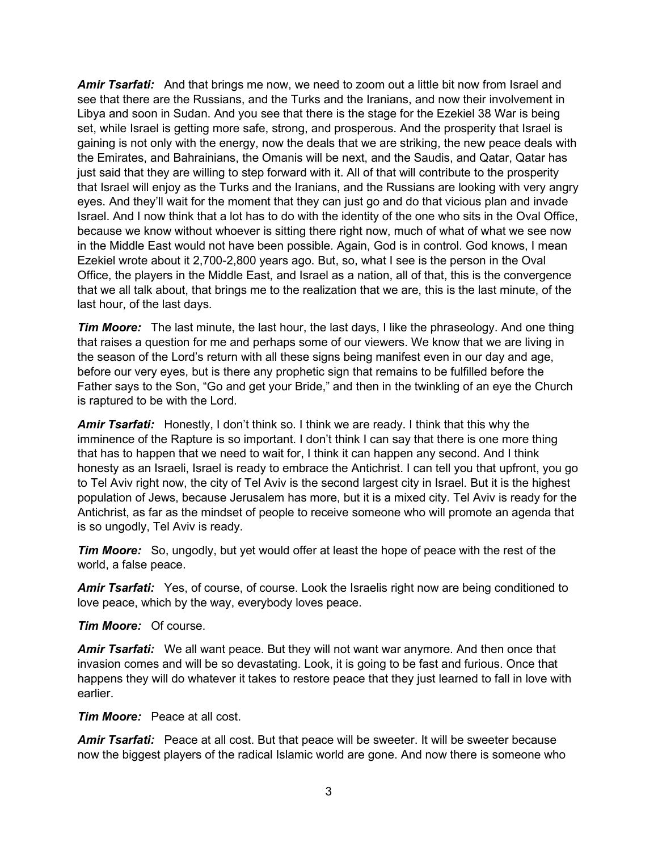*Amir Tsarfati:* And that brings me now, we need to zoom out a little bit now from Israel and see that there are the Russians, and the Turks and the Iranians, and now their involvement in Libya and soon in Sudan. And you see that there is the stage for the Ezekiel 38 War is being set, while Israel is getting more safe, strong, and prosperous. And the prosperity that Israel is gaining is not only with the energy, now the deals that we are striking, the new peace deals with the Emirates, and Bahrainians, the Omanis will be next, and the Saudis, and Qatar, Qatar has just said that they are willing to step forward with it. All of that will contribute to the prosperity that Israel will enjoy as the Turks and the Iranians, and the Russians are looking with very angry eyes. And they'll wait for the moment that they can just go and do that vicious plan and invade Israel. And I now think that a lot has to do with the identity of the one who sits in the Oval Office, because we know without whoever is sitting there right now, much of what of what we see now in the Middle East would not have been possible. Again, God is in control. God knows, I mean Ezekiel wrote about it 2,700-2,800 years ago. But, so, what I see is the person in the Oval Office, the players in the Middle East, and Israel as a nation, all of that, this is the convergence that we all talk about, that brings me to the realization that we are, this is the last minute, of the last hour, of the last days.

*Tim Moore:* The last minute, the last hour, the last days, I like the phraseology. And one thing that raises a question for me and perhaps some of our viewers. We know that we are living in the season of the Lord's return with all these signs being manifest even in our day and age, before our very eyes, but is there any prophetic sign that remains to be fulfilled before the Father says to the Son, "Go and get your Bride," and then in the twinkling of an eye the Church is raptured to be with the Lord.

*Amir Tsarfati:* Honestly, I don't think so. I think we are ready. I think that this why the imminence of the Rapture is so important. I don't think I can say that there is one more thing that has to happen that we need to wait for, I think it can happen any second. And I think honesty as an Israeli, Israel is ready to embrace the Antichrist. I can tell you that upfront, you go to Tel Aviv right now, the city of Tel Aviv is the second largest city in Israel. But it is the highest population of Jews, because Jerusalem has more, but it is a mixed city. Tel Aviv is ready for the Antichrist, as far as the mindset of people to receive someone who will promote an agenda that is so ungodly, Tel Aviv is ready.

*Tim Moore:* So, ungodly, but yet would offer at least the hope of peace with the rest of the world, a false peace.

*Amir Tsarfati:* Yes, of course, of course. Look the Israelis right now are being conditioned to love peace, which by the way, everybody loves peace.

*Tim Moore:* Of course.

*Amir Tsarfati:* We all want peace. But they will not want war anymore. And then once that invasion comes and will be so devastating. Look, it is going to be fast and furious. Once that happens they will do whatever it takes to restore peace that they just learned to fall in love with earlier.

*Tim Moore:* Peace at all cost.

*Amir Tsarfati:* Peace at all cost. But that peace will be sweeter. It will be sweeter because now the biggest players of the radical Islamic world are gone. And now there is someone who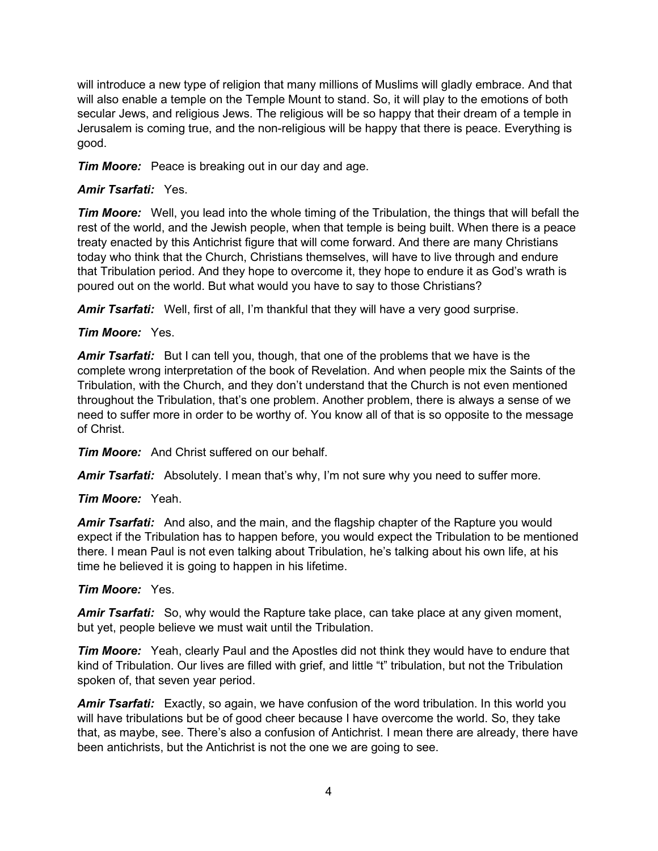will introduce a new type of religion that many millions of Muslims will gladly embrace. And that will also enable a temple on the Temple Mount to stand. So, it will play to the emotions of both secular Jews, and religious Jews. The religious will be so happy that their dream of a temple in Jerusalem is coming true, and the non-religious will be happy that there is peace. Everything is good.

*Tim Moore:* Peace is breaking out in our day and age.

## *Amir Tsarfati:* Yes.

*Tim Moore:* Well, you lead into the whole timing of the Tribulation, the things that will befall the rest of the world, and the Jewish people, when that temple is being built. When there is a peace treaty enacted by this Antichrist figure that will come forward. And there are many Christians today who think that the Church, Christians themselves, will have to live through and endure that Tribulation period. And they hope to overcome it, they hope to endure it as God's wrath is poured out on the world. But what would you have to say to those Christians?

*Amir Tsarfati:* Well, first of all, I'm thankful that they will have a very good surprise.

## *Tim Moore:* Yes.

*Amir Tsarfati:* But I can tell you, though, that one of the problems that we have is the complete wrong interpretation of the book of Revelation. And when people mix the Saints of the Tribulation, with the Church, and they don't understand that the Church is not even mentioned throughout the Tribulation, that's one problem. Another problem, there is always a sense of we need to suffer more in order to be worthy of. You know all of that is so opposite to the message of Christ.

*Tim Moore:* And Christ suffered on our behalf.

*Amir Tsarfati:* Absolutely. I mean that's why, I'm not sure why you need to suffer more.

# *Tim Moore:* Yeah.

*Amir Tsarfati:* And also, and the main, and the flagship chapter of the Rapture you would expect if the Tribulation has to happen before, you would expect the Tribulation to be mentioned there. I mean Paul is not even talking about Tribulation, he's talking about his own life, at his time he believed it is going to happen in his lifetime.

## *Tim Moore:* Yes.

*Amir Tsarfati:* So, why would the Rapture take place, can take place at any given moment, but yet, people believe we must wait until the Tribulation.

*Tim Moore:* Yeah, clearly Paul and the Apostles did not think they would have to endure that kind of Tribulation. Our lives are filled with grief, and little "t" tribulation, but not the Tribulation spoken of, that seven year period.

*Amir Tsarfati:* Exactly, so again, we have confusion of the word tribulation. In this world you will have tribulations but be of good cheer because I have overcome the world. So, they take that, as maybe, see. There's also a confusion of Antichrist. I mean there are already, there have been antichrists, but the Antichrist is not the one we are going to see.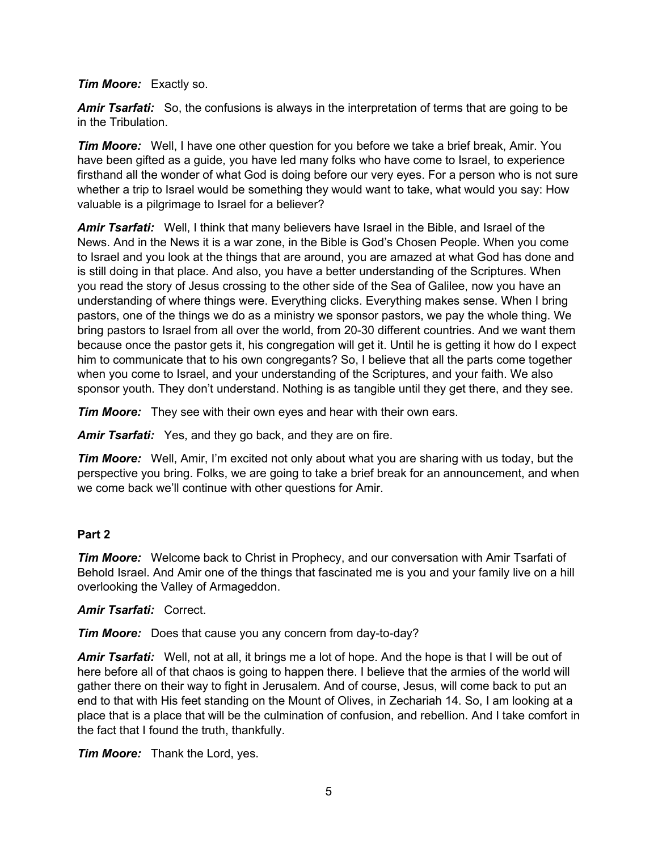*Tim Moore:* Exactly so.

*Amir Tsarfati:* So, the confusions is always in the interpretation of terms that are going to be in the Tribulation.

*Tim Moore:* Well, I have one other question for you before we take a brief break, Amir. You have been gifted as a guide, you have led many folks who have come to Israel, to experience firsthand all the wonder of what God is doing before our very eyes. For a person who is not sure whether a trip to Israel would be something they would want to take, what would you say: How valuable is a pilgrimage to Israel for a believer?

*Amir Tsarfati:* Well, I think that many believers have Israel in the Bible, and Israel of the News. And in the News it is a war zone, in the Bible is God's Chosen People. When you come to Israel and you look at the things that are around, you are amazed at what God has done and is still doing in that place. And also, you have a better understanding of the Scriptures. When you read the story of Jesus crossing to the other side of the Sea of Galilee, now you have an understanding of where things were. Everything clicks. Everything makes sense. When I bring pastors, one of the things we do as a ministry we sponsor pastors, we pay the whole thing. We bring pastors to Israel from all over the world, from 20-30 different countries. And we want them because once the pastor gets it, his congregation will get it. Until he is getting it how do I expect him to communicate that to his own congregants? So, I believe that all the parts come together when you come to Israel, and your understanding of the Scriptures, and your faith. We also sponsor youth. They don't understand. Nothing is as tangible until they get there, and they see.

*Tim Moore:* They see with their own eyes and hear with their own ears.

*Amir Tsarfati:* Yes, and they go back, and they are on fire.

*Tim Moore:* Well, Amir, I'm excited not only about what you are sharing with us today, but the perspective you bring. Folks, we are going to take a brief break for an announcement, and when we come back we'll continue with other questions for Amir.

## **Part 2**

*Tim Moore:* Welcome back to Christ in Prophecy, and our conversation with Amir Tsarfati of Behold Israel. And Amir one of the things that fascinated me is you and your family live on a hill overlooking the Valley of Armageddon.

## *Amir Tsarfati:* Correct.

*Tim Moore:* Does that cause you any concern from day-to-day?

*Amir Tsarfati:* Well, not at all, it brings me a lot of hope. And the hope is that I will be out of here before all of that chaos is going to happen there. I believe that the armies of the world will gather there on their way to fight in Jerusalem. And of course, Jesus, will come back to put an end to that with His feet standing on the Mount of Olives, in Zechariah 14. So, I am looking at a place that is a place that will be the culmination of confusion, and rebellion. And I take comfort in the fact that I found the truth, thankfully.

*Tim Moore:* Thank the Lord, yes.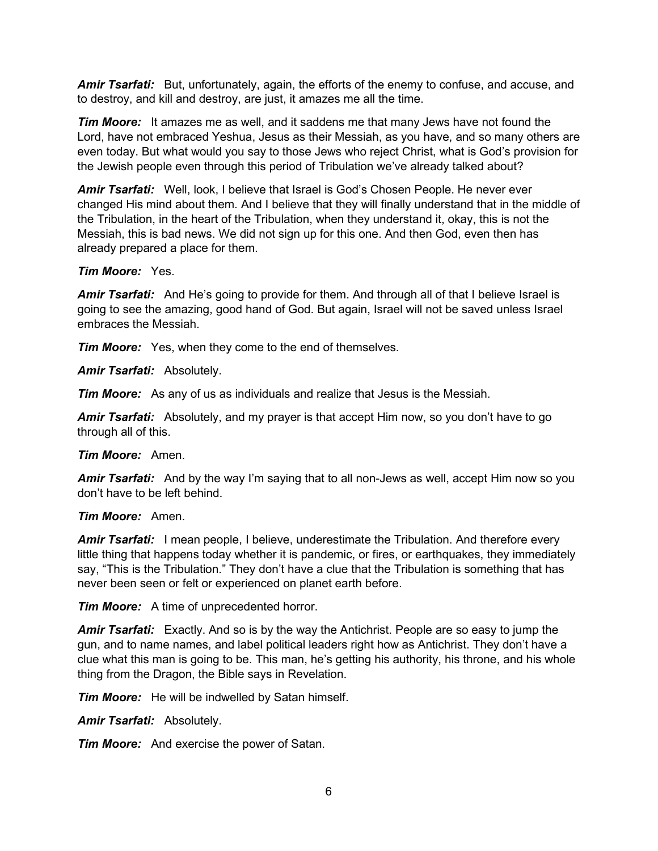*Amir Tsarfati:* But, unfortunately, again, the efforts of the enemy to confuse, and accuse, and to destroy, and kill and destroy, are just, it amazes me all the time.

*Tim Moore:* It amazes me as well, and it saddens me that many Jews have not found the Lord, have not embraced Yeshua, Jesus as their Messiah, as you have, and so many others are even today. But what would you say to those Jews who reject Christ, what is God's provision for the Jewish people even through this period of Tribulation we've already talked about?

*Amir Tsarfati:* Well, look, I believe that Israel is God's Chosen People. He never ever changed His mind about them. And I believe that they will finally understand that in the middle of the Tribulation, in the heart of the Tribulation, when they understand it, okay, this is not the Messiah, this is bad news. We did not sign up for this one. And then God, even then has already prepared a place for them.

#### *Tim Moore:* Yes.

*Amir Tsarfati:* And He's going to provide for them. And through all of that I believe Israel is going to see the amazing, good hand of God. But again, Israel will not be saved unless Israel embraces the Messiah.

*Tim Moore:* Yes, when they come to the end of themselves.

*Amir Tsarfati:* Absolutely.

*Tim Moore:* As any of us as individuals and realize that Jesus is the Messiah.

*Amir Tsarfati:* Absolutely, and my prayer is that accept Him now, so you don't have to go through all of this.

## *Tim Moore:* Amen.

*Amir Tsarfati:* And by the way I'm saying that to all non-Jews as well, accept Him now so you don't have to be left behind.

## *Tim Moore:* Amen.

*Amir Tsarfati:* I mean people, I believe, underestimate the Tribulation. And therefore every little thing that happens today whether it is pandemic, or fires, or earthquakes, they immediately say, "This is the Tribulation." They don't have a clue that the Tribulation is something that has never been seen or felt or experienced on planet earth before.

*Tim Moore:* A time of unprecedented horror.

*Amir Tsarfati:* Exactly. And so is by the way the Antichrist. People are so easy to jump the gun, and to name names, and label political leaders right how as Antichrist. They don't have a clue what this man is going to be. This man, he's getting his authority, his throne, and his whole thing from the Dragon, the Bible says in Revelation.

*Tim Moore:* He will be indwelled by Satan himself.

*Amir Tsarfati:* Absolutely.

*Tim Moore:* And exercise the power of Satan.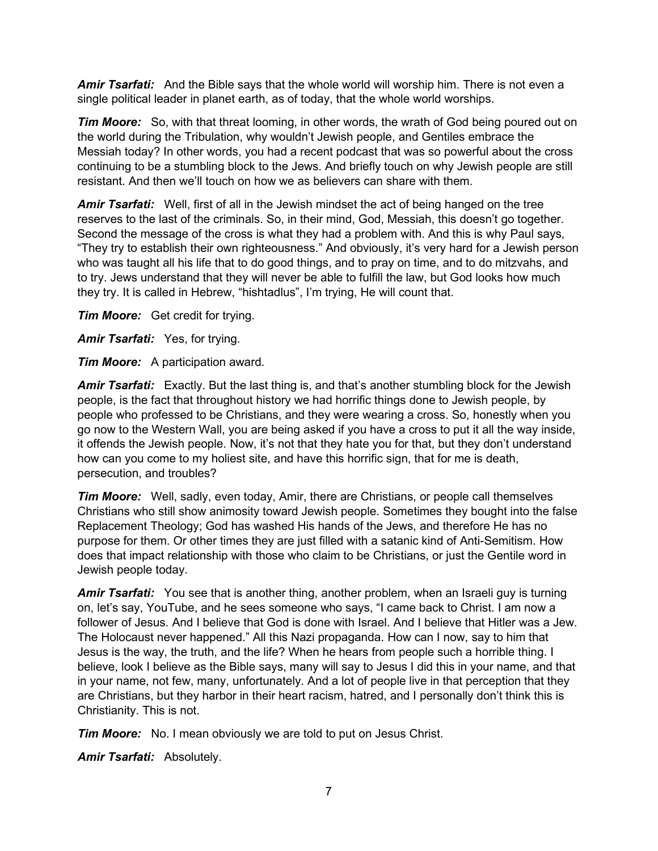*Amir Tsarfati:* And the Bible says that the whole world will worship him. There is not even a single political leader in planet earth, as of today, that the whole world worships.

*Tim Moore:* So, with that threat looming, in other words, the wrath of God being poured out on the world during the Tribulation, why wouldn't Jewish people, and Gentiles embrace the Messiah today? In other words, you had a recent podcast that was so powerful about the cross continuing to be a stumbling block to the Jews. And briefly touch on why Jewish people are still resistant. And then we'll touch on how we as believers can share with them.

*Amir Tsarfati:* Well, first of all in the Jewish mindset the act of being hanged on the tree reserves to the last of the criminals. So, in their mind, God, Messiah, this doesn't go together. Second the message of the cross is what they had a problem with. And this is why Paul says, "They try to establish their own righteousness." And obviously, it's very hard for a Jewish person who was taught all his life that to do good things, and to pray on time, and to do mitzvahs, and to try. Jews understand that they will never be able to fulfill the law, but God looks how much they try. It is called in Hebrew, "hishtadlus", I'm trying, He will count that.

*Tim Moore:* Get credit for trying.

*Amir Tsarfati:* Yes, for trying.

*Tim Moore:* A participation award.

*Amir Tsarfati:* Exactly. But the last thing is, and that's another stumbling block for the Jewish people, is the fact that throughout history we had horrific things done to Jewish people, by people who professed to be Christians, and they were wearing a cross. So, honestly when you go now to the Western Wall, you are being asked if you have a cross to put it all the way inside, it offends the Jewish people. Now, it's not that they hate you for that, but they don't understand how can you come to my holiest site, and have this horrific sign, that for me is death, persecution, and troubles?

*Tim Moore:* Well, sadly, even today, Amir, there are Christians, or people call themselves Christians who still show animosity toward Jewish people. Sometimes they bought into the false Replacement Theology; God has washed His hands of the Jews, and therefore He has no purpose for them. Or other times they are just filled with a satanic kind of Anti-Semitism. How does that impact relationship with those who claim to be Christians, or just the Gentile word in Jewish people today.

*Amir Tsarfati:* You see that is another thing, another problem, when an Israeli guy is turning on, let's say, YouTube, and he sees someone who says, "I came back to Christ. I am now a follower of Jesus. And I believe that God is done with Israel. And I believe that Hitler was a Jew. The Holocaust never happened." All this Nazi propaganda. How can I now, say to him that Jesus is the way, the truth, and the life? When he hears from people such a horrible thing. I believe, look I believe as the Bible says, many will say to Jesus I did this in your name, and that in your name, not few, many, unfortunately. And a lot of people live in that perception that they are Christians, but they harbor in their heart racism, hatred, and I personally don't think this is Christianity. This is not.

*Tim Moore:* No. I mean obviously we are told to put on Jesus Christ.

*Amir Tsarfati:* Absolutely.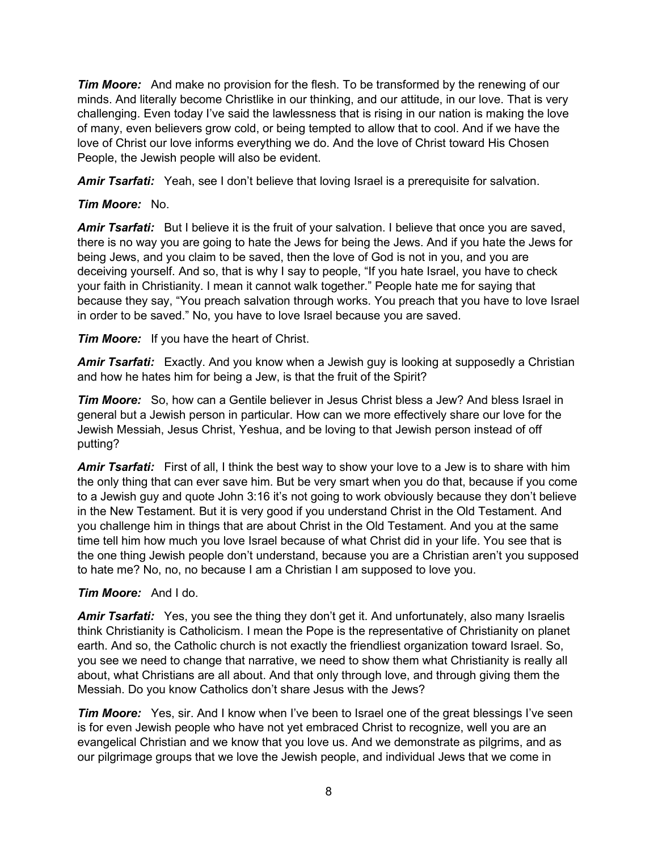*Tim Moore:* And make no provision for the flesh. To be transformed by the renewing of our minds. And literally become Christlike in our thinking, and our attitude, in our love. That is very challenging. Even today I've said the lawlessness that is rising in our nation is making the love of many, even believers grow cold, or being tempted to allow that to cool. And if we have the love of Christ our love informs everything we do. And the love of Christ toward His Chosen People, the Jewish people will also be evident.

*Amir Tsarfati:* Yeah, see I don't believe that loving Israel is a prerequisite for salvation.

## *Tim Moore:* No.

Amir Tsarfati: But I believe it is the fruit of your salvation. I believe that once you are saved, there is no way you are going to hate the Jews for being the Jews. And if you hate the Jews for being Jews, and you claim to be saved, then the love of God is not in you, and you are deceiving yourself. And so, that is why I say to people, "If you hate Israel, you have to check your faith in Christianity. I mean it cannot walk together." People hate me for saying that because they say, "You preach salvation through works. You preach that you have to love Israel in order to be saved." No, you have to love Israel because you are saved.

*Tim Moore:* If you have the heart of Christ.

*Amir Tsarfati:* Exactly. And you know when a Jewish guy is looking at supposedly a Christian and how he hates him for being a Jew, is that the fruit of the Spirit?

*Tim Moore:* So, how can a Gentile believer in Jesus Christ bless a Jew? And bless Israel in general but a Jewish person in particular. How can we more effectively share our love for the Jewish Messiah, Jesus Christ, Yeshua, and be loving to that Jewish person instead of off putting?

*Amir Tsarfati:* First of all, I think the best way to show your love to a Jew is to share with him the only thing that can ever save him. But be very smart when you do that, because if you come to a Jewish guy and quote John 3:16 it's not going to work obviously because they don't believe in the New Testament. But it is very good if you understand Christ in the Old Testament. And you challenge him in things that are about Christ in the Old Testament. And you at the same time tell him how much you love Israel because of what Christ did in your life. You see that is the one thing Jewish people don't understand, because you are a Christian aren't you supposed to hate me? No, no, no because I am a Christian I am supposed to love you.

## *Tim Moore:* And I do.

*Amir Tsarfati:* Yes, you see the thing they don't get it. And unfortunately, also many Israelis think Christianity is Catholicism. I mean the Pope is the representative of Christianity on planet earth. And so, the Catholic church is not exactly the friendliest organization toward Israel. So, you see we need to change that narrative, we need to show them what Christianity is really all about, what Christians are all about. And that only through love, and through giving them the Messiah. Do you know Catholics don't share Jesus with the Jews?

*Tim Moore:* Yes, sir. And I know when I've been to Israel one of the great blessings I've seen is for even Jewish people who have not yet embraced Christ to recognize, well you are an evangelical Christian and we know that you love us. And we demonstrate as pilgrims, and as our pilgrimage groups that we love the Jewish people, and individual Jews that we come in